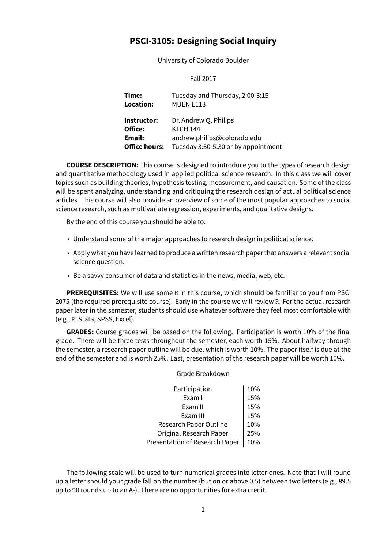# **PSCI-3105: Designing Social Inquiry**

University of Colorado Boulder

### Fall 2017

**Time:** Tuesday and Thursday, 2:00-3:15 **Location:** MUEN E113 **Instructor:** Dr. Andrew Q. Philips **Office:** KTCH 144 **Email:** andrew.philips@colorado.edu **Office hours:** Tuesday 3:30-5:30 or by appointment

**COURSE DESCRIPTION:** This course is designed to introduce you to the types of research design and quantitative methodology used in applied political science research. In this class we will cover topics such as building theories, hypothesis testing, measurement, and causation. Some of the class will be spent analyzing, understanding and critiquing the research design of actual political science articles. This course will also provide an overview of some of the most popular approaches to social science research, such as multivariate regression, experiments, and qualitative designs.

By the end of this course you should be able to:

- Understand some of the major approaches to research design in political science.
- Apply what you have learned to produce a written research paper that answers a relevant social science question.
- Be a savvy consumer of data and statistics in the news, media, web, etc.

**PREREQUISITES:** We will use some R in this course, which should be familiar to you from PSCI 2075 (the required prerequisite course). Early in the course we will review R. For the actual research paper later in the semester, students should use whatever software they feel most comfortable with (e.g., R, Stata, SPSS, Excel).

**GRADES:** Course grades will be based on the following. Participation is worth 10% of the final grade. There will be three tests throughout the semester, each worth 15%. About halfway through the semester, a research paper outline will be due, which is worth 10%. The paper itself is due at the end of the semester and is worth 25%. Last, presentation of the research paper will be worth 10%.

Grade Breakdown

## Participation 10% Exam I  $15%$ Exam II  $\vert$  15% Exam III 15% Research Paper Outline 10% Original Research Paper 125% Presentation of Research Paper | 10%

The following scale will be used to turn numerical grades into letter ones. Note that I will round up a letter should your grade fall on the number (but on or above 0.5) between two letters (e.g., 89.5 up to 90 rounds up to an A-). There are no opportunities for extra credit.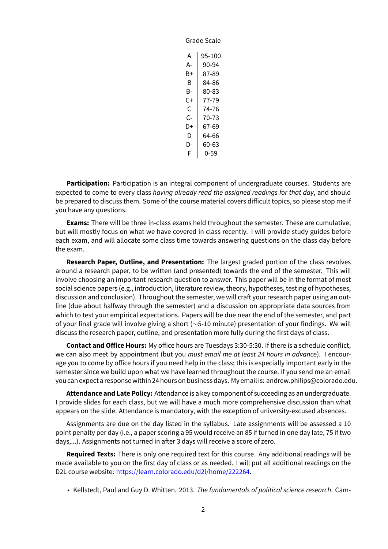| caic |        |
|------|--------|
| А    | 95-100 |
| А-   | 90-94  |
| B+   | 87-89  |
| B    | 84-86  |
| B-   | 80-83  |
| C+   | 77-79  |
| C    | 74-76  |
| C-   | 70-73  |
| D+   | 67-69  |
| D    | 64-66  |
| D-   | 60-63  |
| F    | 0-59   |
|      |        |

Grade Scale

**Participation:** Participation is an integral component of undergraduate courses. Students are expected to come to every class *having already read the assigned readings for that day*, and should be prepared to discuss them. Some of the course material covers difficult topics, so please stop me if you have any questions.

**Exams:** There will be three in-class exams held throughout the semester. These are cumulative, but will mostly focus on what we have covered in class recently. I will provide study guides before each exam, and will allocate some class time towards answering questions on the class day before the exam.

**Research Paper, Outline, and Presentation:** The largest graded portion of the class revolves around a research paper, to be written (and presented) towards the end of the semester. This will involve choosing an important research question to answer. This paper will be in the format of most social science papers (e.g., introduction, literature review, theory, hypotheses, testing of hypotheses, discussion and conclusion). Throughout the semester, we will craft your research paper using an outline (due about halfway through the semester) and a discussion on appropriate data sources from which to test your empirical expectations. Papers will be due near the end of the semester, and part of your final grade will involve giving a short (*∼*5-10 minute) presentation of your findings. We will discuss the research paper, outline, and presentation more fully during the first days of class.

**Contact and Office Hours:** My office hours are Tuesdays 3:30-5:30. If there is a schedule conflict, we can also meet by appointment (but you *must email me at least 24 hours in advance*). I encourage you to come by office hours if you need help in the class; this is especially important early in the semester since we build upon what we have learned throughout the course. If you send me an email you can expect a response within 24 hours on business days. My email is: andrew.philips@colorado.edu.

**Attendance and Late Policy:** Attendance is a key component of succeeding as an undergraduate. I provide slides for each class, but we will have a much more comprehensive discussion than what appears on the slide. Attendance is mandatory, with the exception of university-excused absences.

Assignments are due on the day listed in the syllabus. Late assignments will be assessed a 10 point penalty per day (i.e., a paper scoring a 95 would receive an 85 if turned in one day late, 75 if two days,...). Assignments not turned in after 3 days will receive a score of zero.

**Required Texts:** There is only one required text for this course. Any additional readings will be made available to you on the first day of class or as needed. I will put all additional readings on the D2L course website: <https://learn.colorado.edu/d2l/home/222264>.

• Kellstedt, Paul and Guy D. Whitten. 2013. *The fundamentals of political science research*. Cam-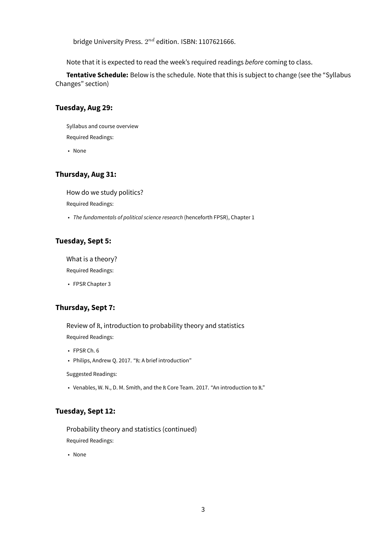bridge University Press.  $2^{nd}$  edition. ISBN: 1107621666.

Note that it is expected to read the week's required readings *before* coming to class.

**Tentative Schedule:** Below is the schedule. Note that this is subject to change (see the "Syllabus Changes" section)

### **Tuesday, Aug 29:**

Syllabus and course overview Required Readings:

• None

## **Thursday, Aug 31:**

How do we study politics?

Required Readings:

• *The fundamentals of political science research* (henceforth FPSR), Chapter 1

## **Tuesday, Sept 5:**

What is a theory?

Required Readings:

• FPSR Chapter 3

## **Thursday, Sept 7:**

Review of R, introduction to probability theory and statistics Required Readings:

• FPSR Ch. 6

• Philips, Andrew Q. 2017. "R: A brief introduction"

Suggested Readings:

• Venables, W. N., D. M. Smith, and the R Core Team. 2017. "An introduction to R."

### **Tuesday, Sept 12:**

Probability theory and statistics (continued)

Required Readings:

• None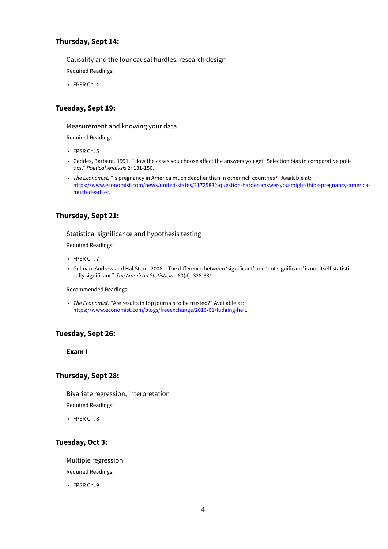## **Thursday, Sept 14:**

Causality and the four causal hurdles, research design

Required Readings:

• FPSR Ch. 4

## **Tuesday, Sept 19:**

#### Measurement and knowing your data

Required Readings:

- FPSR Ch. 5
- Geddes, Barbara. 1991. "How the cases you choose affect the answers you get: Selection bias in comparative politics." *Political Analysis* 2: 131-150.
- *The Economist*. "Is pregnancy in America much deadlier than in other rich countries?" Available at: [https://www.economist.com/news/united-states/21725832-question-harder-answer-you-might-think-pregnancy-america](https://www.economist.com/news/united-states/21725832-question-harder-answer-you-might-think-pregnancy-america-much-deadlier)[much-deadlier](https://www.economist.com/news/united-states/21725832-question-harder-answer-you-might-think-pregnancy-america-much-deadlier).

## **Thursday, Sept 21:**

### Statistical significance and hypothesis testing

Required Readings:

- FPSR Ch. 7
- Gelman, Andrew and Hal Stern. 2006. "The difference between 'significant' and 'not significant' is not itself statistically significant." *The American Statistician* 60(4): 328-331.

Recommended Readings:

• *The Economist*. "Are results in top journals to be trusted?" Available at: [https://www.economist.com/blogs/freeexchange/2016/01/fudging-hell.](https://www.economist.com/blogs/freeexchange/2016/01/fudging-hell)

## **Tuesday, Sept 26:**

**Exam I**

## **Thursday, Sept 28:**

Bivariate regression, interpretation

Required Readings:

• FPSR Ch. 8

## **Tuesday, Oct 3:**

Multiple regression

Required Readings:

• FPSR Ch. 9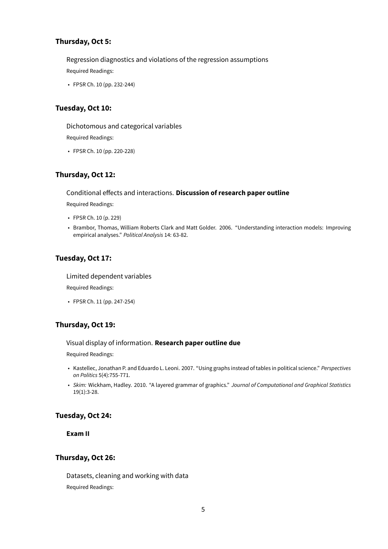## **Thursday, Oct 5:**

Regression diagnostics and violations of the regression assumptions Required Readings:

• FPSR Ch. 10 (pp. 232-244)

## **Tuesday, Oct 10:**

Dichotomous and categorical variables

Required Readings:

• FPSR Ch. 10 (pp. 220-228)

## **Thursday, Oct 12:**

#### Conditional effects and interactions. **Discussion of research paper outline**

Required Readings:

- FPSR Ch. 10 (p. 229)
- Brambor, Thomas, William Roberts Clark and Matt Golder. 2006. "Understanding interaction models: Improving empirical analyses." *Political Analysis* 14: 63-82.

## **Tuesday, Oct 17:**

### Limited dependent variables

Required Readings:

• FPSR Ch. 11 (pp. 247-254)

## **Thursday, Oct 19:**

#### Visual display of information. **Research paper outline due**

Required Readings:

- Kastellec, Jonathan P. and Eduardo L. Leoni. 2007. "Using graphs instead of tables in political science." *Perspectives on Politics* 5(4):755-771.
- *Skim:* Wickham, Hadley. 2010. "A layered grammar of graphics." *Journal of Computational and Graphical Statistics* 19(1):3-28.

## **Tuesday, Oct 24:**

**Exam II**

### **Thursday, Oct 26:**

Datasets, cleaning and working with data Required Readings: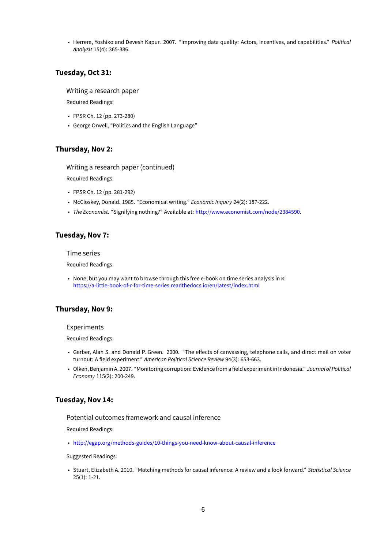• Herrera, Yoshiko and Devesh Kapur. 2007. "Improving data quality: Actors, incentives, and capabilities." *Political Analysis* 15(4): 365-386.

### **Tuesday, Oct 31:**

#### Writing a research paper

Required Readings:

- FPSR Ch. 12 (pp. 273-280)
- George Orwell, "Politics and the English Language"

#### **Thursday, Nov 2:**

### Writing a research paper (continued)

Required Readings:

- FPSR Ch. 12 (pp. 281-292)
- McCloskey, Donald. 1985. "Economical writing." *Economic Inquiry* 24(2): 187-222.
- *The Economist*. "Signifying nothing?" Available at: <http://www.economist.com/node/2384590>.

### **Tuesday, Nov 7:**

#### Time series

Required Readings:

• None, but you may want to browse through this free e-book on time series analysis in R: <https://a-little-book-of-r-for-time-series.readthedocs.io/en/latest/index.html>

#### **Thursday, Nov 9:**

#### Experiments

Required Readings:

- Gerber, Alan S. and Donald P. Green. 2000. "The effects of canvassing, telephone calls, and direct mail on voter turnout: A field experiment." *American Political Science Review* 94(3): 653-663.
- Olken, Benjamin A. 2007. "Monitoring corruption: Evidencefrom afield experiment in Indonesia." *Journal of Political Economy* 115(2): 200-249.

### **Tuesday, Nov 14:**

### Potential outcomes framework and causal inference

Required Readings:

• <http://egap.org/methods-guides/10-things-you-need-know-about-causal-inference>

#### Suggested Readings:

• Stuart, Elizabeth A. 2010. "Matching methods for causal inference: A review and a look forward." *Statistical Science* 25(1): 1-21.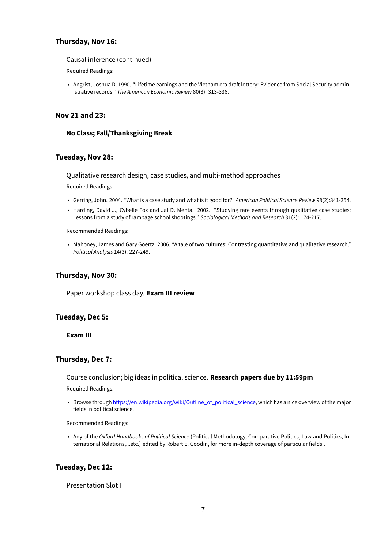## **Thursday, Nov 16:**

#### Causal inference (continued)

Required Readings:

• Angrist, Joshua D. 1990. "Lifetime earnings and the Vietnam era draft lottery: Evidence from Social Security administrative records." *The American Economic Review* 80(3): 313-336.

## **Nov 21 and 23:**

### **No Class; Fall/Thanksgiving Break**

### **Tuesday, Nov 28:**

Qualitative research design, case studies, and multi-method approaches

Required Readings:

- Gerring, John. 2004. "What is a case study and what is it good for?" *American Political Science Review* 98(2):341-354.
- Harding, David J., Cybelle Fox and Jal D. Mehta. 2002. "Studying rare events through qualitative case studies: Lessons from a study of rampage school shootings." *Sociological Methods and Research* 31(2): 174-217.

Recommended Readings:

• Mahoney, James and Gary Goertz. 2006. "A tale of two cultures: Contrasting quantitative and qualitative research." *Political Analysis* 14(3): 227-249.

## **Thursday, Nov 30:**

Paper workshop class day. **Exam III review**

## **Tuesday, Dec 5:**

**Exam III**

## **Thursday, Dec 7:**

Course conclusion; big ideas in political science. **Research papers due by 11:59pm**

Required Readings:

• Browse through [https://en.wikipedia.org/wiki/Outline\\_of\\_political\\_science](https://en.wikipedia.org/wiki/Outline_of_political_science), which has a nice overview of the major fields in political science.

Recommended Readings:

• Any of the *Oxford Handbooks of Political Science* (Political Methodology, Comparative Politics, Law and Politics, International Relations,...etc.) edited by Robert E. Goodin, for more in-depth coverage of particular fields..

## **Tuesday, Dec 12:**

Presentation Slot I